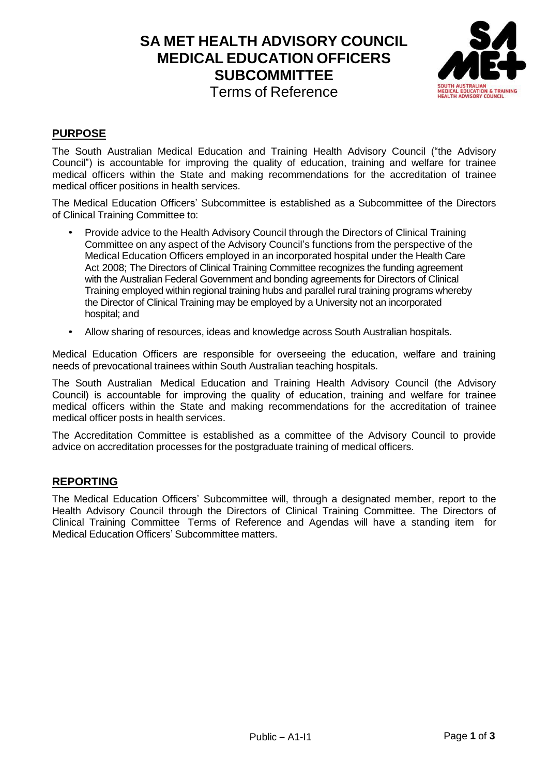# **SA MET HEALTH ADVISORY COUNCIL MEDICAL EDUCATION OFFICERS SUBCOMMITTEE** Terms of Reference



## **PURPOSE**

The South Australian Medical Education and Training Health Advisory Council ("the Advisory Council") is accountable for improving the quality of education, training and welfare for trainee medical officers within the State and making recommendations for the accreditation of trainee medical officer positions in health services.

The Medical Education Officers' Subcommittee is established as a Subcommittee of the Directors of Clinical Training Committee to:

- Provide advice to the Health Advisory Council through the Directors of Clinical Training Committee on any aspect of the Advisory Council's functions from the perspective of the Medical Education Officers employed in an incorporated hospital under the Health Care Act 2008; The Directors of Clinical Training Committee recognizes the funding agreement with the Australian Federal Government and bonding agreements for Directors of Clinical Training employed within regional training hubs and parallel rural training programs whereby the Director of Clinical Training may be employed by a University not an incorporated hospital; and
- Allow sharing of resources, ideas and knowledge across South Australian hospitals.

Medical Education Officers are responsible for overseeing the education, welfare and training needs of prevocational trainees within South Australian teaching hospitals.

The South Australian Medical Education and Training Health Advisory Council (the Advisory Council) is accountable for improving the quality of education, training and welfare for trainee medical officers within the State and making recommendations for the accreditation of trainee medical officer posts in health services.

The Accreditation Committee is established as a committee of the Advisory Council to provide advice on accreditation processes for the postgraduate training of medical officers.

### **REPORTING**

The Medical Education Officers' Subcommittee will, through a designated member, report to the Health Advisory Council through the Directors of Clinical Training Committee. The Directors of Clinical Training Committee Terms of Reference and Agendas will have a standing item for Medical Education Officers' Subcommittee matters.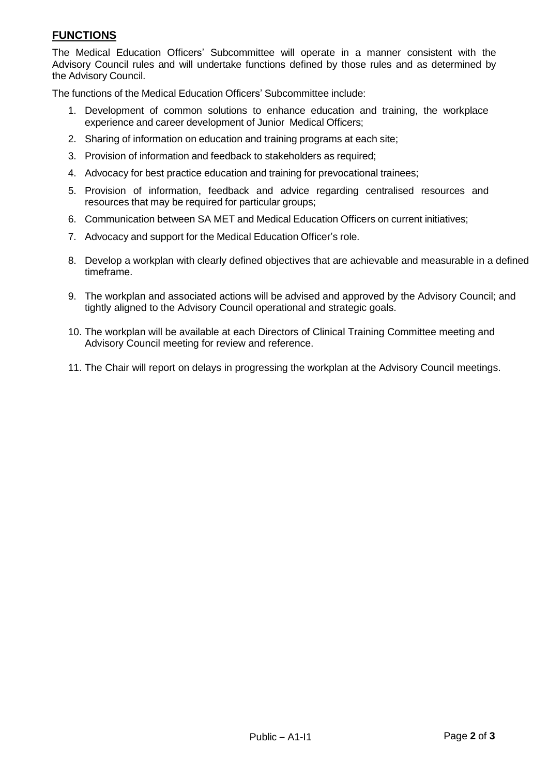### **FUNCTIONS**

The Medical Education Officers' Subcommittee will operate in a manner consistent with the Advisory Council rules and will undertake functions defined by those rules and as determined by the Advisory Council.

The functions of the Medical Education Officers' Subcommittee include:

- 1. Development of common solutions to enhance education and training, the workplace experience and career development of Junior Medical Officers;
- 2. Sharing of information on education and training programs at each site;
- 3. Provision of information and feedback to stakeholders as required;
- 4. Advocacy for best practice education and training for prevocational trainees;
- 5. Provision of information, feedback and advice regarding centralised resources and resources that may be required for particular groups;
- 6. Communication between SA MET and Medical Education Officers on current initiatives;
- 7. Advocacy and support for the Medical Education Officer's role.
- 8. Develop a workplan with clearly defined objectives that are achievable and measurable in a defined timeframe.
- 9. The workplan and associated actions will be advised and approved by the Advisory Council; and tightly aligned to the Advisory Council operational and strategic goals.
- 10. The workplan will be available at each Directors of Clinical Training Committee meeting and Advisory Council meeting for review and reference.
- 11. The Chair will report on delays in progressing the workplan at the Advisory Council meetings.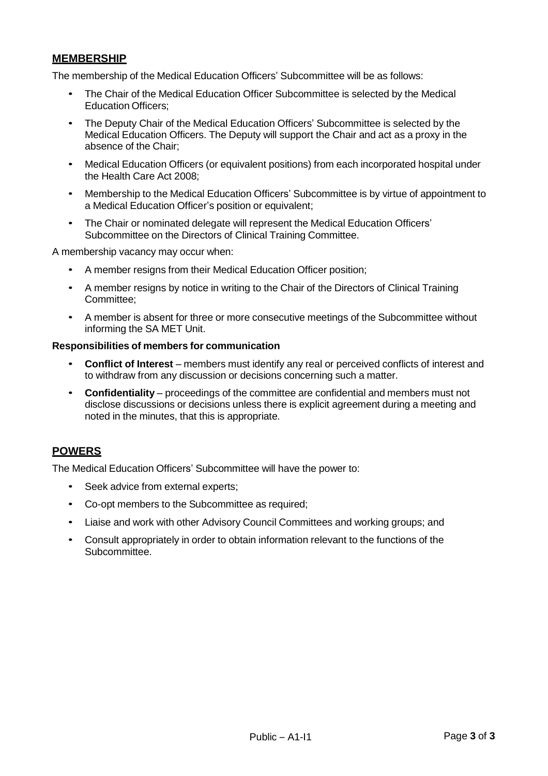### **MEMBERSHIP**

The membership of the Medical Education Officers' Subcommittee will be as follows:

- The Chair of the Medical Education Officer Subcommittee is selected by the Medical Education Officers;
- The Deputy Chair of the Medical Education Officers' Subcommittee is selected by the Medical Education Officers. The Deputy will support the Chair and act as a proxy in the absence of the Chair;
- Medical Education Officers (or equivalent positions) from each incorporated hospital under the Health Care Act 2008;
- Membership to the Medical Education Officers' Subcommittee is by virtue of appointment to a Medical Education Officer's position or equivalent;
- The Chair or nominated delegate will represent the Medical Education Officers' Subcommittee on the Directors of Clinical Training Committee.

A membership vacancy may occur when:

- A member resigns from their Medical Education Officer position;
- A member resigns by notice in writing to the Chair of the Directors of Clinical Training Committee;
- A member is absent for three or more consecutive meetings of the Subcommittee without informing the SA MET Unit.

#### **Responsibilities of members for communication**

- **Conflict of Interest** members must identify any real or perceived conflicts of interest and to withdraw from any discussion or decisions concerning such a matter.
- **Confidentiality** proceedings of the committee are confidential and members must not disclose discussions or decisions unless there is explicit agreement during a meeting and noted in the minutes, that this is appropriate.

#### **POWERS**

The Medical Education Officers' Subcommittee will have the power to:

- Seek advice from external experts:
- Co-opt members to the Subcommittee as required;
- Liaise and work with other Advisory Council Committees and working groups; and
- Consult appropriately in order to obtain information relevant to the functions of the Subcommittee.